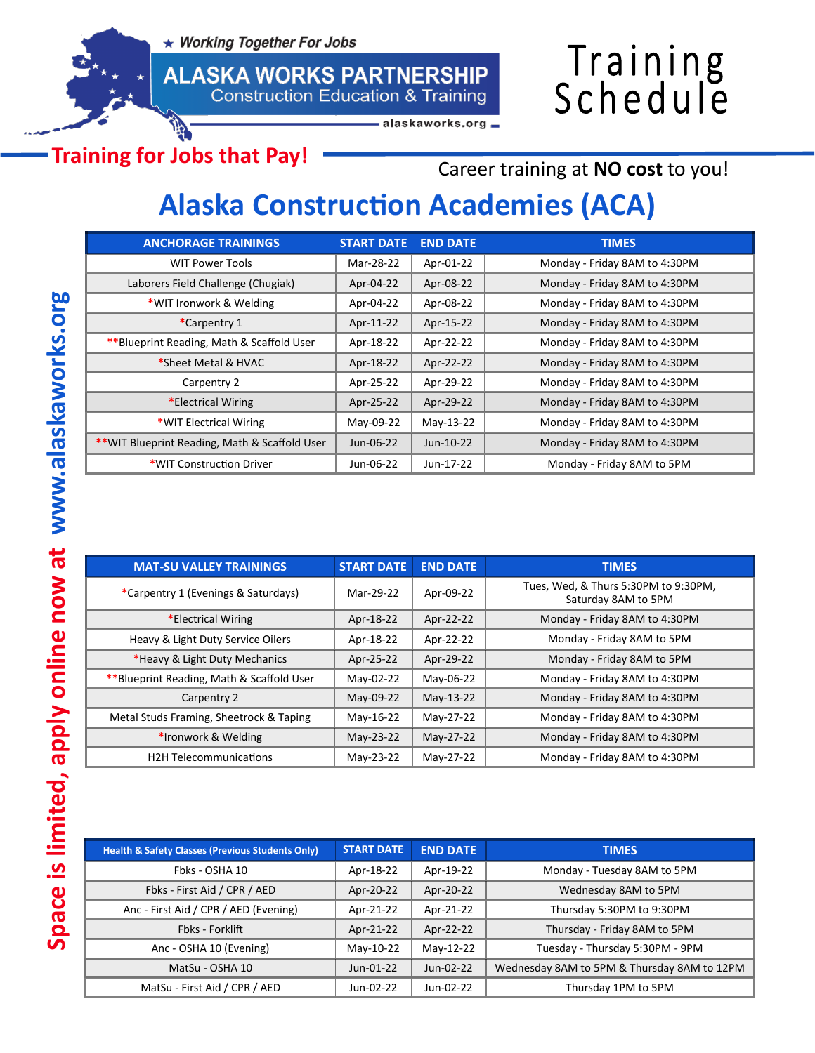★ Working Together For Jobs



## Training<br>Schedule

alaskaworks.org

**Training for Jobs that Pay!**

Career training at **NO cost** to you!

## **Alaska Construction Academies (ACA)**

| <b>ANCHORAGE TRAININGS</b>                     | <b>START DATE</b> | <b>END DATE</b> | <b>TIMES</b>                  |
|------------------------------------------------|-------------------|-----------------|-------------------------------|
| <b>WIT Power Tools</b>                         | Mar-28-22         | Apr-01-22       | Monday - Friday 8AM to 4:30PM |
| Laborers Field Challenge (Chugiak)             | Apr-04-22         | Apr-08-22       | Monday - Friday 8AM to 4:30PM |
| *WIT Ironwork & Welding                        | Apr-04-22         | Apr-08-22       | Monday - Friday 8AM to 4:30PM |
| *Carpentry 1                                   | Apr-11-22         | Apr-15-22       | Monday - Friday 8AM to 4:30PM |
| ** Blueprint Reading, Math & Scaffold User     | Apr-18-22         | Apr-22-22       | Monday - Friday 8AM to 4:30PM |
| *Sheet Metal & HVAC                            | Apr-18-22         | Apr-22-22       | Monday - Friday 8AM to 4:30PM |
| Carpentry 2                                    | Apr-25-22         | Apr-29-22       | Monday - Friday 8AM to 4:30PM |
| *Electrical Wiring                             | Apr-25-22         | Apr-29-22       | Monday - Friday 8AM to 4:30PM |
| *WIT Electrical Wiring                         | May-09-22         | May-13-22       | Monday - Friday 8AM to 4:30PM |
| ** WIT Blueprint Reading, Math & Scaffold User | Jun-06-22         | Jun-10-22       | Monday - Friday 8AM to 4:30PM |
| *WIT Construction Driver                       | Jun-06-22         | Jun-17-22       | Monday - Friday 8AM to 5PM    |

| <b>MAT-SU VALLEY TRAININGS</b>            | <b>START DATE</b> | <b>END DATE</b> | <b>TIMES</b>                                                |
|-------------------------------------------|-------------------|-----------------|-------------------------------------------------------------|
| *Carpentry 1 (Evenings & Saturdays)       | Mar-29-22         | Apr-09-22       | Tues, Wed, & Thurs 5:30PM to 9:30PM,<br>Saturday 8AM to 5PM |
| *Electrical Wiring                        | Apr-18-22         | Apr-22-22       | Monday - Friday 8AM to 4:30PM                               |
| Heavy & Light Duty Service Oilers         | Apr-18-22         | Apr-22-22       | Monday - Friday 8AM to 5PM                                  |
| *Heavy & Light Duty Mechanics             | Apr-25-22         | Apr-29-22       | Monday - Friday 8AM to 5PM                                  |
| **Blueprint Reading, Math & Scaffold User | May-02-22         | May-06-22       | Monday - Friday 8AM to 4:30PM                               |
| Carpentry 2                               | May-09-22         | May-13-22       | Monday - Friday 8AM to 4:30PM                               |
| Metal Studs Framing, Sheetrock & Taping   | May-16-22         | May-27-22       | Monday - Friday 8AM to 4:30PM                               |
| *Ironwork & Welding                       | May-23-22         | May-27-22       | Monday - Friday 8AM to 4:30PM                               |
| <b>H2H Telecommunications</b>             | May-23-22         | May-27-22       | Monday - Friday 8AM to 4:30PM                               |

| <b>Health &amp; Safety Classes (Previous Students Only)</b> | <b>START DATE</b> | <b>END DATE</b> | <b>TIMES</b>                                |
|-------------------------------------------------------------|-------------------|-----------------|---------------------------------------------|
| Fbks - OSHA 10                                              | Apr-18-22         | Apr-19-22       | Monday - Tuesday 8AM to 5PM                 |
| Fbks - First Aid / CPR / AED                                | Apr-20-22         | Apr-20-22       | Wednesday 8AM to 5PM                        |
| Anc - First Aid / CPR / AED (Evening)                       | Apr-21-22         | Apr-21-22       | Thursday 5:30PM to 9:30PM                   |
| Fbks - Forklift                                             | Apr-21-22         | Apr-22-22       | Thursday - Friday 8AM to 5PM                |
| Anc - OSHA 10 (Evening)                                     | May-10-22         | May-12-22       | Tuesday - Thursday 5:30PM - 9PM             |
| MatSu - OSHA 10                                             | Jun-01-22         | Jun-02-22       | Wednesday 8AM to 5PM & Thursday 8AM to 12PM |
| MatSu - First Aid / CPR / AED                               | Jun-02-22         | Jun-02-22       | Thursday 1PM to 5PM                         |